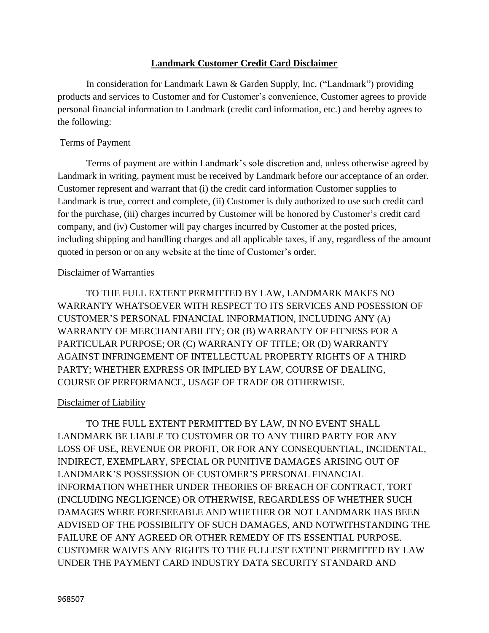## **Landmark Customer Credit Card Disclaimer**

In consideration for Landmark Lawn & Garden Supply, Inc. ("Landmark") providing products and services to Customer and for Customer's convenience, Customer agrees to provide personal financial information to Landmark (credit card information, etc.) and hereby agrees to the following:

### Terms of Payment

Terms of payment are within Landmark's sole discretion and, unless otherwise agreed by Landmark in writing, payment must be received by Landmark before our acceptance of an order. Customer represent and warrant that (i) the credit card information Customer supplies to Landmark is true, correct and complete, (ii) Customer is duly authorized to use such credit card for the purchase, (iii) charges incurred by Customer will be honored by Customer's credit card company, and (iv) Customer will pay charges incurred by Customer at the posted prices, including shipping and handling charges and all applicable taxes, if any, regardless of the amount quoted in person or on any website at the time of Customer's order.

## Disclaimer of Warranties

TO THE FULL EXTENT PERMITTED BY LAW, LANDMARK MAKES NO WARRANTY WHATSOEVER WITH RESPECT TO ITS SERVICES AND POSESSION OF CUSTOMER'S PERSONAL FINANCIAL INFORMATION, INCLUDING ANY (A) WARRANTY OF MERCHANTABILITY; OR (B) WARRANTY OF FITNESS FOR A PARTICULAR PURPOSE; OR (C) WARRANTY OF TITLE; OR (D) WARRANTY AGAINST INFRINGEMENT OF INTELLECTUAL PROPERTY RIGHTS OF A THIRD PARTY; WHETHER EXPRESS OR IMPLIED BY LAW, COURSE OF DEALING, COURSE OF PERFORMANCE, USAGE OF TRADE OR OTHERWISE.

### Disclaimer of Liability

TO THE FULL EXTENT PERMITTED BY LAW, IN NO EVENT SHALL LANDMARK BE LIABLE TO CUSTOMER OR TO ANY THIRD PARTY FOR ANY LOSS OF USE, REVENUE OR PROFIT, OR FOR ANY CONSEQUENTIAL, INCIDENTAL, INDIRECT, EXEMPLARY, SPECIAL OR PUNITIVE DAMAGES ARISING OUT OF LANDMARK'S POSSESSION OF CUSTOMER'S PERSONAL FINANCIAL INFORMATION WHETHER UNDER THEORIES OF BREACH OF CONTRACT, TORT (INCLUDING NEGLIGENCE) OR OTHERWISE, REGARDLESS OF WHETHER SUCH DAMAGES WERE FORESEEABLE AND WHETHER OR NOT LANDMARK HAS BEEN ADVISED OF THE POSSIBILITY OF SUCH DAMAGES, AND NOTWITHSTANDING THE FAILURE OF ANY AGREED OR OTHER REMEDY OF ITS ESSENTIAL PURPOSE. CUSTOMER WAIVES ANY RIGHTS TO THE FULLEST EXTENT PERMITTED BY LAW UNDER THE PAYMENT CARD INDUSTRY DATA SECURITY STANDARD AND